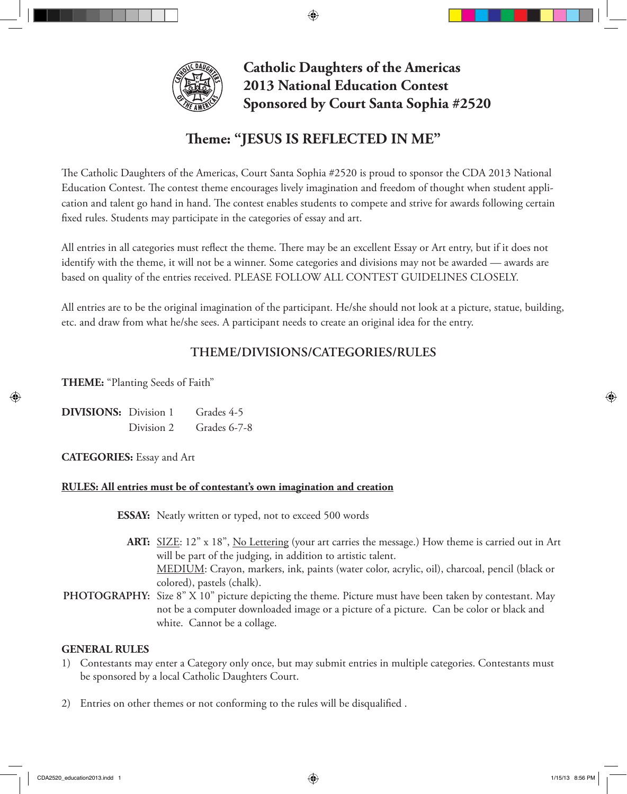

**Catholic Daughters of the Americas 2013 National Education Contest Sponsored by Court Santa Sophia #2520**

# **Theme: "JESUS IS REFLECTED IN ME"**

⊕

The Catholic Daughters of the Americas, Court Santa Sophia #2520 is proud to sponsor the CDA 2013 National Education Contest. The contest theme encourages lively imagination and freedom of thought when student application and talent go hand in hand. The contest enables students to compete and strive for awards following certain fixed rules. Students may participate in the categories of essay and art.

All entries in all categories must reflect the theme. There may be an excellent Essay or Art entry, but if it does not identify with the theme, it will not be a winner. Some categories and divisions may not be awarded — awards are based on quality of the entries received. PLEASE FOLLOW ALL CONTEST GUIDELINES CLOSELY.

All entries are to be the original imagination of the participant. He/she should not look at a picture, statue, building, etc. and draw from what he/she sees. A participant needs to create an original idea for the entry.

## **THEME/DIVISIONS/CATEGORIES/RULES**

**THEME:** "Planting Seeds of Faith"

**DIVISIONS:** Division 1 Grades 4-5 Division 2 Grades 6-7-8

**CATEGORIES:** Essay and Art

## **RULES: All entries must be of contestant's own imagination and creation**

**ESSAY:** Neatly written or typed, not to exceed 500 words

- **ART:** SIZE: 12" x 18", No Lettering (your art carries the message.) How theme is carried out in Art will be part of the judging, in addition to artistic talent. MEDIUM: Crayon, markers, ink, paints (water color, acrylic, oil), charcoal, pencil (black or colored), pastels (chalk).
- **PHOTOGRAPHY:** Size 8" X 10" picture depicting the theme. Picture must have been taken by contestant. May not be a computer downloaded image or a picture of a picture. Can be color or black and white. Cannot be a collage.

## **GENERAL RULES**

- 1) Contestants may enter a Category only once, but may submit entries in multiple categories. Contestants must be sponsored by a local Catholic Daughters Court.
- 2) Entries on other themes or not conforming to the rules will be disqualified .

↔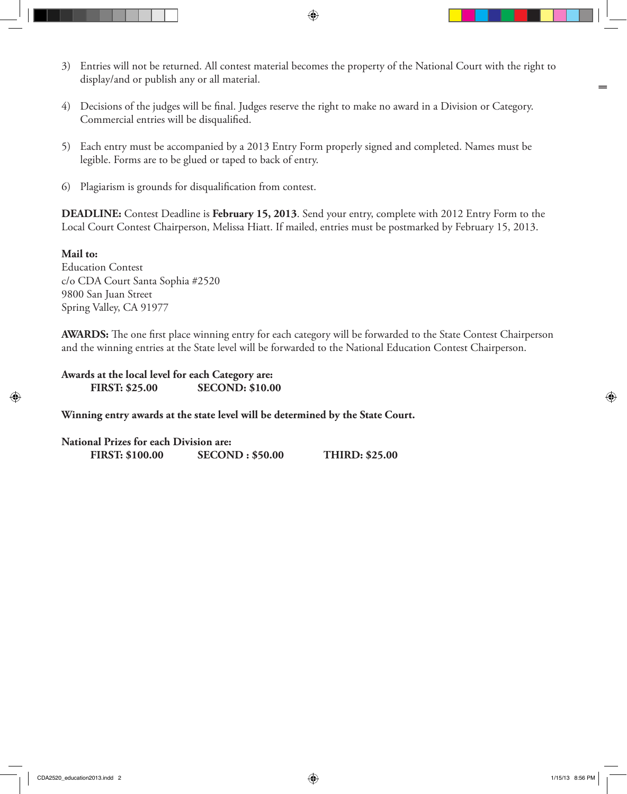3) Entries will not be returned. All contest material becomes the property of the National Court with the right to display/and or publish any or all material.

 $\bigoplus$ 

- 4) Decisions of the judges will be final. Judges reserve the right to make no award in a Division or Category. Commercial entries will be disqualified.
- 5) Each entry must be accompanied by a 2013 Entry Form properly signed and completed. Names must be legible. Forms are to be glued or taped to back of entry.
- 6) Plagiarism is grounds for disqualification from contest.

**DEADLINE:** Contest Deadline is **February 15, 2013**. Send your entry, complete with 2012 Entry Form to the Local Court Contest Chairperson, Melissa Hiatt. If mailed, entries must be postmarked by February 15, 2013.

#### **Mail to:**

⊕

Education Contest c/o CDA Court Santa Sophia #2520 9800 San Juan Street Spring Valley, CA 91977

**AWARDS:** The one first place winning entry for each category will be forwarded to the State Contest Chairperson and the winning entries at the State level will be forwarded to the National Education Contest Chairperson.

**Awards at the local level for each Category are: FIRST: \$25.00 SECOND: \$10.00**

**Winning entry awards at the state level will be determined by the State Court.**

**National Prizes for each Division are: FIRST: \$100.00 SECOND : \$50.00 THIRD: \$25.00** ⊕